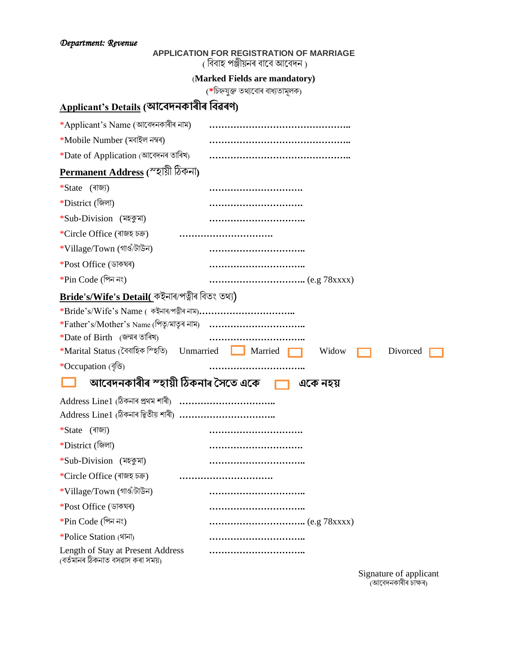## **APPLICATION FOR REGISTRATION OF MARRIAGE**

( বিবাহ পঞ্জীয়নৰ বাবে আবেদন)

#### (**Marked Fields are mandatory)**

(\*চিহ্নযুক্ত তথ্যবোৰ বাধ্যতামূলক)

# **Applicant's Details (আবেদনকাৰীৰ বেৱৰণ)**

| $*$ Applicant's Name (আবেদনকাৰীৰ নাম)                                 |                                                                        |          |
|-----------------------------------------------------------------------|------------------------------------------------------------------------|----------|
| *Mobile Number (মবাইল নম্বৰ)                                          |                                                                        |          |
| $*$ Date of Application (আবেদনৰ তাৰিখ)                                |                                                                        |          |
| <u>Permanent Address</u> (স্হায়ী ঠিকনা)                              |                                                                        |          |
| *State (ৰাজ্য)                                                        |                                                                        |          |
| *District (জিলা)                                                      |                                                                        |          |
| *Sub-Division (মহকুমা)                                                |                                                                        |          |
| *Circle Office (ৰাজহ চক্ৰ)                                            |                                                                        |          |
| *Village/Town (গাওঁ/টাউন)                                             |                                                                        |          |
| *Post Office (ডাকঘৰ)                                                  |                                                                        |          |
| *Pin Code (পিন নং)                                                    |                                                                        |          |
| <u>Bride's/Wife's Detail(</u> কইনাৰ/পত্নীৰ বিতং তথ্য)                 |                                                                        |          |
|                                                                       |                                                                        |          |
|                                                                       |                                                                        |          |
| $*$ Date of Birth (জন্মৰ তাৰিখ)                                       |                                                                        |          |
|                                                                       | $*$ Marital Status (বৈবাহিক ম্হিতি) Unmarried Married Married<br>Widow | Divorced |
| *Occupation (বৃত্তি)                                                  |                                                                        |          |
|                                                                       | আবেদনকাৰীৰ স্হায়ী ঠিকনাৰ সৈতে একে বালি বি<br>একে নহয়                 |          |
|                                                                       |                                                                        |          |
| Address Line1 (ঠিকনাৰ দ্বিতীয় শাৰী) ……………………………                      |                                                                        |          |
| *State (ৰাজ্য)                                                        |                                                                        |          |
| *District (জিলা)                                                      |                                                                        |          |
| *Sub-Division (মহকুমা)                                                |                                                                        |          |
| *Circle Office (ৰাজহ চক্ৰ)                                            |                                                                        |          |
| *Village/Town (গাওঁ/টাউন)                                             |                                                                        |          |
| *Post Office (ডাকঘৰ)                                                  |                                                                        |          |
| $*Pin Code (?n \rightarrow \infty)$                                   |                                                                        |          |
| *Police Station (शन)                                                  |                                                                        |          |
| Length of Stay at Present Address<br>(বৰ্তমানৰ ঠিকনাত বসৱাস কৰা সময়) |                                                                        |          |

Signature of applicant (আবেদনকাৰীৰ চাক্ষৰ)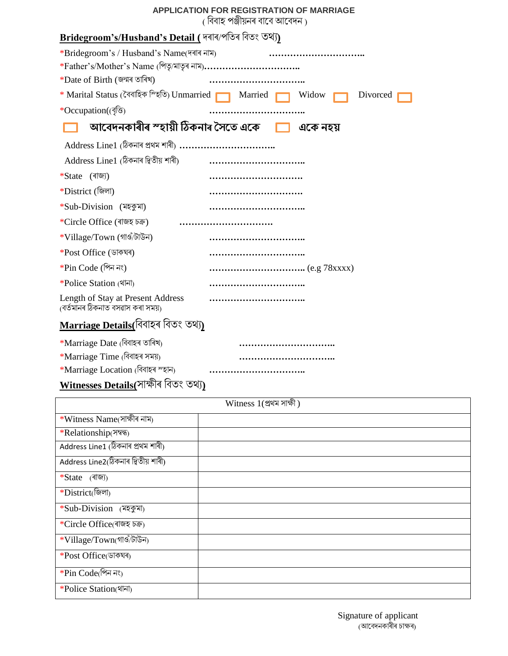#### **APPLICATION FOR REGISTRATION OF MARRIAGE**

( বিবাহ পঞ্জীয়নৰ বাবে আবেদন )

| <u>Bridegroom's/Husband's Detail (</u> দৰাৰ/পতিৰ বিতং তথ্য)              |                   |  |
|--------------------------------------------------------------------------|-------------------|--|
| *Bridegroom's / Husband's Name(দৰাৰ নাম)                                 |                   |  |
|                                                                          |                   |  |
| *Date of Birth (জন্মৰ তাৰিখ)                                             |                   |  |
| * Marital Status (বৈবাহিক ম্হিতি) Unmarried <b>in America in America</b> | Widow<br>Divorced |  |
| *Occupation((বৃত্তি)                                                     |                   |  |
| আবেদনকাৰীৰ স্হায়ী ঠিকনাৰ সৈতে একে                                       | একে নহয়          |  |
|                                                                          |                   |  |
| Address Line1 (ঠিকনাৰ দ্বিতীয় শাৰী)                                     |                   |  |
| *State (ৰাজ্য)                                                           |                   |  |
| *District (জিলা)                                                         |                   |  |
| *Sub-Division (মহকুমা)                                                   |                   |  |
| *Circle Office (ৰাজহ চক্ৰ)                                               |                   |  |
| *Village/Town (গাওঁ/টাউন)                                                |                   |  |
| *Post Office (ডাকঘৰ)                                                     |                   |  |
| $*Pin Code ($ গিন নং)                                                    |                   |  |
| *Police Station (शन)                                                     |                   |  |
| Length of Stay at Present Address<br>(বৰ্তমানৰ ঠিকনাত বসৱাস কৰা সময়)    |                   |  |
| <u>Marriage Details(</u> বিবাহৰ বিতং তথ্য)                               |                   |  |
| *Marriage Date (বিবাহৰ তাৰিখ)                                            |                   |  |
| *Marriage Time (বিবাহৰ সময়)                                             |                   |  |
| *Marriage Location (বিবাহৰ স্হান)                                        |                   |  |
| Witnesses Details(সাক্ষীৰ বিতং তথ্য)                                     |                   |  |

| Witness $1$ (প্ৰথম সাক্ষী)          |  |  |
|-------------------------------------|--|--|
| $*W$ itness Name(সাক্ষীৰ নাম)       |  |  |
| *Relationship(সম্বন্ধ)              |  |  |
| Address Line1 (ঠিকনাৰ প্ৰথম শাৰী)   |  |  |
| Address Line2(ঠিকনাৰ দ্বিতীয় শাৰী) |  |  |
| *State (ৰাজ্য)                      |  |  |
| *District(জিলা)                     |  |  |
| *Sub-Division (মহকুমা)              |  |  |
| *Circle Office(ৰাজহ চক্ৰ)           |  |  |
| *Village/Town(গাওঁ/টাউন)            |  |  |
| *Post Office(ডাকঘৰ)                 |  |  |
| *Pin Code(পিন নং)                   |  |  |
| *Police Station(शन)                 |  |  |